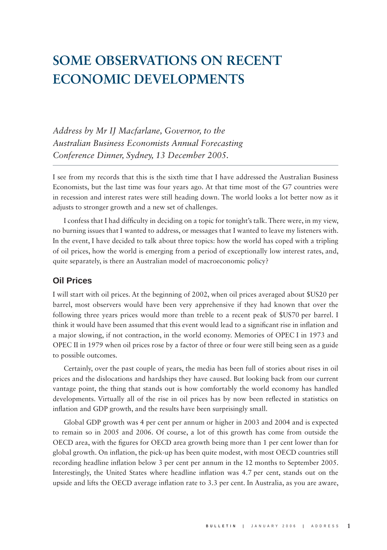# **SOME OBSERVATIONS ON RECENT ECONOMIC DEVELOPMENTS**

*Address by Mr IJ Macfarlane, Governor, to the Australian Business Economists Annual Forecasting Conference Dinner, Sydney, 13 December 2005.*

I see from my records that this is the sixth time that I have addressed the Australian Business Economists, but the last time was four years ago. At that time most of the G7 countries were in recession and interest rates were still heading down. The world looks a lot better now as it adjusts to stronger growth and a new set of challenges.

I confess that I had difficulty in deciding on a topic for tonight's talk. There were, in my view, no burning issues that I wanted to address, or messages that I wanted to leave my listeners with. In the event, I have decided to talk about three topics: how the world has coped with a tripling of oil prices, how the world is emerging from a period of exceptionally low interest rates, and, quite separately, is there an Australian model of macroeconomic policy?

# **Oil Prices**

I will start with oil prices. At the beginning of 2002, when oil prices averaged about \$US20 per barrel, most observers would have been very apprehensive if they had known that over the following three years prices would more than treble to a recent peak of \$US70 per barrel. I think it would have been assumed that this event would lead to a significant rise in inflation and a major slowing, if not contraction, in the world economy. Memories of OPEC I in 1973 and OPEC II in 1979 when oil prices rose by a factor of three or four were still being seen as a guide to possible outcomes.

Certainly, over the past couple of years, the media has been full of stories about rises in oil prices and the dislocations and hardships they have caused. But looking back from our current vantage point, the thing that stands out is how comfortably the world economy has handled developments. Virtually all of the rise in oil prices has by now been reflected in statistics on inflation and GDP growth, and the results have been surprisingly small.

Global GDP growth was 4 per cent per annum or higher in 2003 and 2004 and is expected to remain so in 2005 and 2006. Of course, a lot of this growth has come from outside the OECD area, with the figures for OECD area growth being more than 1 per cent lower than for global growth. On inflation, the pick-up has been quite modest, with most OECD countries still recording headline inflation below 3 per cent per annum in the 12 months to September 2005. Interestingly, the United States where headline inflation was 4.7 per cent, stands out on the upside and lifts the OECD average inflation rate to 3.3 per cent. In Australia, as you are aware,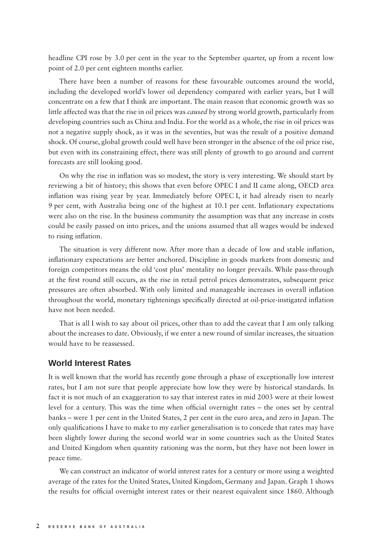headline CPI rose by 3.0 per cent in the year to the September quarter, up from a recent low point of 2.0 per cent eighteen months earlier.

There have been a number of reasons for these favourable outcomes around the world, including the developed world's lower oil dependency compared with earlier years, but I will concentrate on a few that I think are important. The main reason that economic growth was so little affected was that the rise in oil prices was *caused* by strong world growth, particularly from developing countries such as China and India. For the world as a whole, the rise in oil prices was not a negative supply shock, as it was in the seventies, but was the result of a positive demand shock. Of course, global growth could well have been stronger in the absence of the oil price rise, but even with its constraining effect, there was still plenty of growth to go around and current forecasts are still looking good.

On why the rise in inflation was so modest, the story is very interesting. We should start by reviewing a bit of history; this shows that even before OPEC I and II came along, OECD area inflation was rising year by year. Immediately before OPEC I, it had already risen to nearly 9 per cent, with Australia being one of the highest at 10.1 per cent. Inflationary expectations were also on the rise. In the business community the assumption was that any increase in costs could be easily passed on into prices, and the unions assumed that all wages would be indexed to rising inflation.

The situation is very different now. After more than a decade of low and stable inflation, inflationary expectations are better anchored. Discipline in goods markets from domestic and foreign competitors means the old 'cost plus' mentality no longer prevails. While pass-through at the first round still occurs, as the rise in retail petrol prices demonstrates, subsequent price pressures are often absorbed. With only limited and manageable increases in overall inflation throughout the world, monetary tightenings specifically directed at oil-price-instigated inflation have not been needed.

That is all I wish to say about oil prices, other than to add the caveat that I am only talking about the increases to date. Obviously, if we enter a new round of similar increases, the situation would have to be reassessed.

#### **World Interest Rates**

It is well known that the world has recently gone through a phase of exceptionally low interest rates, but I am not sure that people appreciate how low they were by historical standards. In fact it is not much of an exaggeration to say that interest rates in mid 2003 were at their lowest level for a century. This was the time when official overnight rates – the ones set by central banks – were 1 per cent in the United States, 2 per cent in the euro area, and zero in Japan. The only qualifications I have to make to my earlier generalisation is to concede that rates may have been slightly lower during the second world war in some countries such as the United States and United Kingdom when quantity rationing was the norm, but they have not been lower in peace time.

We can construct an indicator of world interest rates for a century or more using a weighted average of the rates for the United States, United Kingdom, Germany and Japan. Graph 1 shows the results for official overnight interest rates or their nearest equivalent since 1860. Although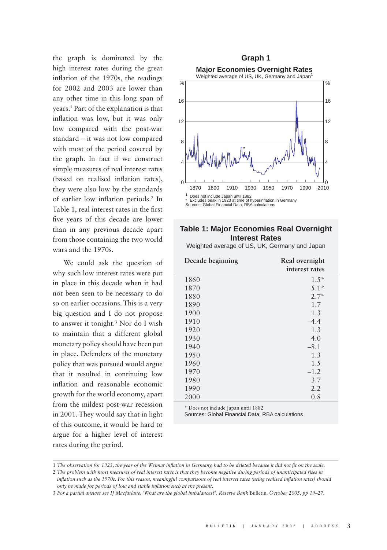the graph is dominated by the high interest rates during the great inflation of the 1970s, the readings for 2002 and 2003 are lower than any other time in this long span of years.1 Part of the explanation is that inflation was low, but it was only low compared with the post-war standard – it was not low compared with most of the period covered by the graph. In fact if we construct simple measures of real interest rates (based on realised inflation rates), they were also low by the standards of earlier low inflation periods.<sup>2</sup> In Table 1, real interest rates in the first five years of this decade are lower than in any previous decade apart from those containing the two world wars and the 1970s.

We could ask the question of why such low interest rates were put in place in this decade when it had not been seen to be necessary to do so on earlier occasions. This is a very big question and I do not propose to answer it tonight.3 Nor do I wish to maintain that a different global monetary policy should have been put in place. Defenders of the monetary policy that was pursued would argue that it resulted in continuing low inflation and reasonable economic growth for the world economy, apart from the mildest post-war recession in 2001. They would say that in light of this outcome, it would be hard to argue for a higher level of interest rates during the period.



## **Table 1: Major Economies Real Overnight Interest Rates**

Weighted average of US, UK, Germany and Japan

| Decade beginning | Real overnight |
|------------------|----------------|
|                  | interest rates |
| 1860             | $1.5*$         |
| 1870             | $5.1*$         |
| 1880             | $2.7*$         |
| 1890             | 1.7            |
| 1900             | 1.3            |
| 1910             | $-4.4$         |
| 1920             | 1.3            |
| 1930             | 4.0            |
| 1940             | $-8.1$         |
| 1950             | 1.3            |
| 1960             | 1.5            |
| 1970             | $-1.2$         |
| 1980             | 3.7            |
| 1990             | 2.2            |
| 2000             | 0.8            |

\* Does not include Japan until 1882

Sources: Global Financial Data; RBA calculations

<sup>1</sup> The observation for 1923, the year of the Weimar inflation in Germany, had to be deleted because it did not fit on the scale.

<sup>2</sup> *The problem with most measures of real interest rates is that they become negative during periods of unanticipated rises in inflation such as the 1970s. For this reason, meaningful comparisons of real interest rates (using realised inflation rates) should only be made for periods of low and stable infl ation such as the present.*

<sup>3</sup> *For a partial answer see IJ Macfarlane, 'What are the global imbalances?', Reserve Bank* Bulletin*, October 2005, pp 19–27.*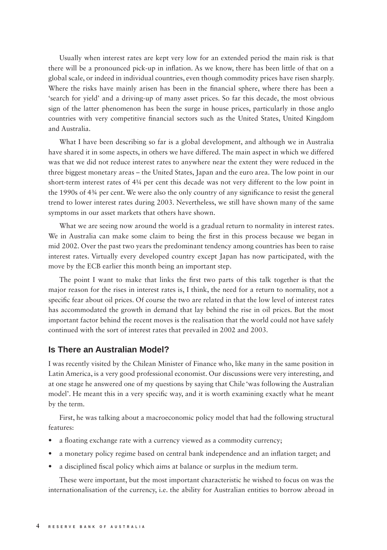Usually when interest rates are kept very low for an extended period the main risk is that there will be a pronounced pick-up in inflation. As we know, there has been little of that on a global scale, or indeed in individual countries, even though commodity prices have risen sharply. Where the risks have mainly arisen has been in the financial sphere, where there has been a 'search for yield' and a driving-up of many asset prices. So far this decade, the most obvious sign of the latter phenomenon has been the surge in house prices, particularly in those anglo countries with very competitive financial sectors such as the United States, United Kingdom and Australia.

What I have been describing so far is a global development, and although we in Australia have shared it in some aspects, in others we have differed. The main aspect in which we differed was that we did not reduce interest rates to anywhere near the extent they were reduced in the three biggest monetary areas – the United States, Japan and the euro area. The low point in our short-term interest rates of 4¼ per cent this decade was not very different to the low point in the 1990s of 4¼ per cent. We were also the only country of any significance to resist the general trend to lower interest rates during 2003. Nevertheless, we still have shown many of the same symptoms in our asset markets that others have shown.

What we are seeing now around the world is a gradual return to normality in interest rates. We in Australia can make some claim to being the first in this process because we began in mid 2002. Over the past two years the predominant tendency among countries has been to raise interest rates. Virtually every developed country except Japan has now participated, with the move by the ECB earlier this month being an important step.

The point I want to make that links the first two parts of this talk together is that the major reason for the rises in interest rates is, I think, the need for a return to normality, not a specific fear about oil prices. Of course the two are related in that the low level of interest rates has accommodated the growth in demand that lay behind the rise in oil prices. But the most important factor behind the recent moves is the realisation that the world could not have safely continued with the sort of interest rates that prevailed in 2002 and 2003.

## **Is There an Australian Model?**

I was recently visited by the Chilean Minister of Finance who, like many in the same position in Latin America, is a very good professional economist. Our discussions were very interesting, and at one stage he answered one of my questions by saying that Chile 'was following the Australian model'. He meant this in a very specific way, and it is worth examining exactly what he meant by the term.

First, he was talking about a macroeconomic policy model that had the following structural features:

- a floating exchange rate with a currency viewed as a commodity currency;
- a monetary policy regime based on central bank independence and an inflation target; and
- a disciplined fiscal policy which aims at balance or surplus in the medium term.

These were important, but the most important characteristic he wished to focus on was the internationalisation of the currency, i.e. the ability for Australian entities to borrow abroad in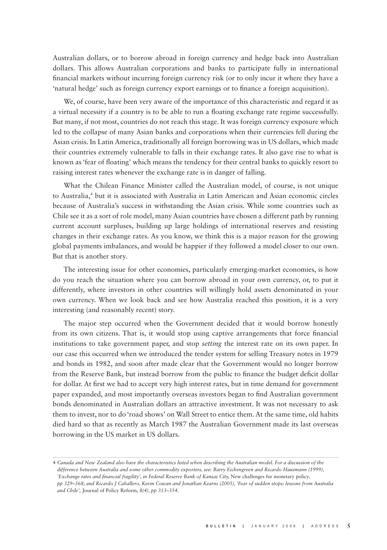Australian dollars, or to borrow abroad in foreign currency and hedge back into Australian dollars. This allows Australian corporations and banks to participate fully in international financial markets without incurring foreign currency risk (or to only incur it where they have a 'natural hedge' such as foreign currency export earnings or to finance a foreign acquisition).

We, of course, have been very aware of the importance of this characteristic and regard it as a virtual necessity if a country is to be able to run a floating exchange rate regime successfully. But many, if not most, countries do not reach this stage. It was foreign currency exposure which led to the collapse of many Asian banks and corporations when their currencies fell during the Asian crisis. In Latin America, traditionally all foreign borrowing was in US dollars, which made their countries extremely vulnerable to falls in their exchange rates. It also gave rise to what is known as 'fear of floating' which means the tendency for their central banks to quickly resort to raising interest rates whenever the exchange rate is in danger of falling.

What the Chilean Finance Minister called the Australian model, of course, is not unique to Australia,<sup>4</sup> but it is associated with Australia in Latin American and Asian economic circles because of Australia's success in withstanding the Asian crisis. While some countries such as Chile see it as a sort of role model, many Asian countries have chosen a different path by running current account surpluses, building up large holdings of international reserves and resisting changes in their exchange rates. As you know, we think this is a major reason for the growing global payments imbalances, and would be happier if they followed a model closer to our own. But that is another story.

The interesting issue for other economies, particularly emerging-market economies, is how do you reach the situation where you can borrow abroad in your own currency, or, to put it differently, where investors in other countries will willingly hold assets denominated in your own currency. When we look back and see how Australia reached this position, it is a very interesting (and reasonably recent) story.

The major step occurred when the Government decided that it would borrow honestly from its own citizens. That is, it would stop using captive arrangements that force financial institutions to take government paper, and stop *setting* the interest rate on its own paper. In our case this occurred when we introduced the tender system for selling Treasury notes in 1979 and bonds in 1982, and soon after made clear that the Government would no longer borrow from the Reserve Bank, but instead borrow from the public to finance the budget deficit dollar for dollar. At first we had to accept very high interest rates, but in time demand for government paper expanded, and most importantly overseas investors began to find Australian government bonds denominated in Australian dollars an attractive investment. It was not necessary to ask them to invest, nor to do 'road shows' on Wall Street to entice them. At the same time, old habits died hard so that as recently as March 1987 the Australian Government made its last overseas borrowing in the US market in US dollars.

<sup>4</sup> *Canada and New Zealand also have the characteristics listed when describing the Australian model. For a discussion of the difference between Australia and some other commodity exporters, see: Barry Eichengreen and Ricardo Hausmann (1999),*  'Exchange rates and financial fragility', in Federal Reserve Bank of Kansas City, New challenges for monetary policy, *pp 329–368; and Ricardo J Caballero, Kevin Cowan and Jonathan Kearns (2005), 'Fear of sudden stops: lessons from Australia and Chile',* Journal of Policy Reform*, 8(4), pp 313–354.*